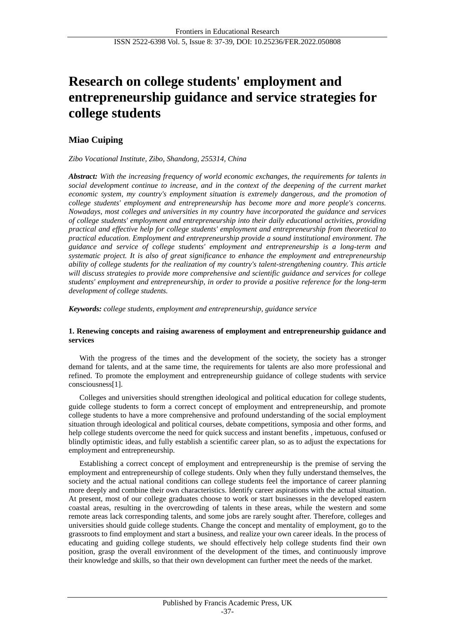# **Research on college students' employment and entrepreneurship guidance and service strategies for college students**

# **Miao Cuiping**

*Zibo Vocational Institute, Zibo, Shandong, 255314, China*

*Abstract: With the increasing frequency of world economic exchanges, the requirements for talents in social development continue to increase, and in the context of the deepening of the current market economic system, my country's employment situation is extremely dangerous, and the promotion of college students' employment and entrepreneurship has become more and more people's concerns. Nowadays, most colleges and universities in my country have incorporated the guidance and services of college students' employment and entrepreneurship into their daily educational activities, providing practical and effective help for college students' employment and entrepreneurship from theoretical to practical education. Employment and entrepreneurship provide a sound institutional environment. The guidance and service of college students' employment and entrepreneurship is a long-term and systematic project. It is also of great significance to enhance the employment and entrepreneurship ability of college students for the realization of my country's talent-strengthening country. This article will discuss strategies to provide more comprehensive and scientific guidance and services for college students' employment and entrepreneurship, in order to provide a positive reference for the long-term development of college students.*

*Keywords: college students, employment and entrepreneurship, guidance service*

# **1. Renewing concepts and raising awareness of employment and entrepreneurship guidance and services**

With the progress of the times and the development of the society, the society has a stronger demand for talents, and at the same time, the requirements for talents are also more professional and refined. To promote the employment and entrepreneurship guidance of college students with service consciousness[1].

Colleges and universities should strengthen ideological and political education for college students, guide college students to form a correct concept of employment and entrepreneurship, and promote college students to have a more comprehensive and profound understanding of the social employment situation through ideological and political courses, debate competitions, symposia and other forms, and help college students overcome the need for quick success and instant benefits , impetuous, confused or blindly optimistic ideas, and fully establish a scientific career plan, so as to adjust the expectations for employment and entrepreneurship.

Establishing a correct concept of employment and entrepreneurship is the premise of serving the employment and entrepreneurship of college students. Only when they fully understand themselves, the society and the actual national conditions can college students feel the importance of career planning more deeply and combine their own characteristics. Identify career aspirations with the actual situation. At present, most of our college graduates choose to work or start businesses in the developed eastern coastal areas, resulting in the overcrowding of talents in these areas, while the western and some remote areas lack corresponding talents, and some jobs are rarely sought after. Therefore, colleges and universities should guide college students. Change the concept and mentality of employment, go to the grassroots to find employment and start a business, and realize your own career ideals. In the process of educating and guiding college students, we should effectively help college students find their own position, grasp the overall environment of the development of the times, and continuously improve their knowledge and skills, so that their own development can further meet the needs of the market.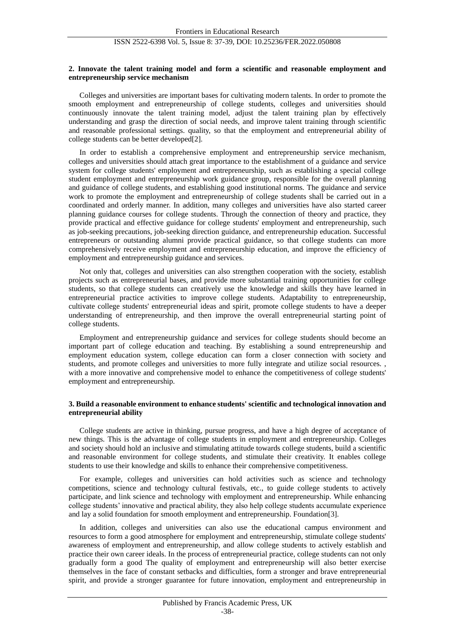#### **2. Innovate the talent training model and form a scientific and reasonable employment and entrepreneurship service mechanism**

Colleges and universities are important bases for cultivating modern talents. In order to promote the smooth employment and entrepreneurship of college students, colleges and universities should continuously innovate the talent training model, adjust the talent training plan by effectively understanding and grasp the direction of social needs, and improve talent training through scientific and reasonable professional settings. quality, so that the employment and entrepreneurial ability of college students can be better developed[2].

In order to establish a comprehensive employment and entrepreneurship service mechanism, colleges and universities should attach great importance to the establishment of a guidance and service system for college students' employment and entrepreneurship, such as establishing a special college student employment and entrepreneurship work guidance group, responsible for the overall planning and guidance of college students, and establishing good institutional norms. The guidance and service work to promote the employment and entrepreneurship of college students shall be carried out in a coordinated and orderly manner. In addition, many colleges and universities have also started career planning guidance courses for college students. Through the connection of theory and practice, they provide practical and effective guidance for college students' employment and entrepreneurship, such as job-seeking precautions, job-seeking direction guidance, and entrepreneurship education. Successful entrepreneurs or outstanding alumni provide practical guidance, so that college students can more comprehensively receive employment and entrepreneurship education, and improve the efficiency of employment and entrepreneurship guidance and services.

Not only that, colleges and universities can also strengthen cooperation with the society, establish projects such as entrepreneurial bases, and provide more substantial training opportunities for college students, so that college students can creatively use the knowledge and skills they have learned in entrepreneurial practice activities to improve college students. Adaptability to entrepreneurship, cultivate college students' entrepreneurial ideas and spirit, promote college students to have a deeper understanding of entrepreneurship, and then improve the overall entrepreneurial starting point of college students.

Employment and entrepreneurship guidance and services for college students should become an important part of college education and teaching. By establishing a sound entrepreneurship and employment education system, college education can form a closer connection with society and students, and promote colleges and universities to more fully integrate and utilize social resources. , with a more innovative and comprehensive model to enhance the competitiveness of college students' employment and entrepreneurship.

#### **3. Build a reasonable environment to enhance students' scientific and technological innovation and entrepreneurial ability**

College students are active in thinking, pursue progress, and have a high degree of acceptance of new things. This is the advantage of college students in employment and entrepreneurship. Colleges and society should hold an inclusive and stimulating attitude towards college students, build a scientific and reasonable environment for college students, and stimulate their creativity. It enables college students to use their knowledge and skills to enhance their comprehensive competitiveness.

For example, colleges and universities can hold activities such as science and technology competitions, science and technology cultural festivals, etc., to guide college students to actively participate, and link science and technology with employment and entrepreneurship. While enhancing college students' innovative and practical ability, they also help college students accumulate experience and lay a solid foundation for smooth employment and entrepreneurship. Foundation[3].

In addition, colleges and universities can also use the educational campus environment and resources to form a good atmosphere for employment and entrepreneurship, stimulate college students' awareness of employment and entrepreneurship, and allow college students to actively establish and practice their own career ideals. In the process of entrepreneurial practice, college students can not only gradually form a good The quality of employment and entrepreneurship will also better exercise themselves in the face of constant setbacks and difficulties, form a stronger and brave entrepreneurial spirit, and provide a stronger guarantee for future innovation, employment and entrepreneurship in